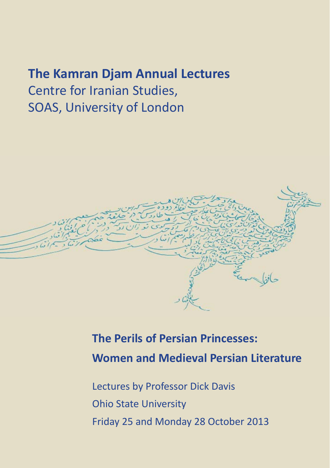## **The Kamran Djam Annual Lectures**

Centre for Iranian Studies, SOAS, University of London



# **The Perils of Persian Princesses: Women and Medieval Persian Literature**

Lectures by Professor Dick Davis Ohio State University Friday 25 and Monday 28 October 2013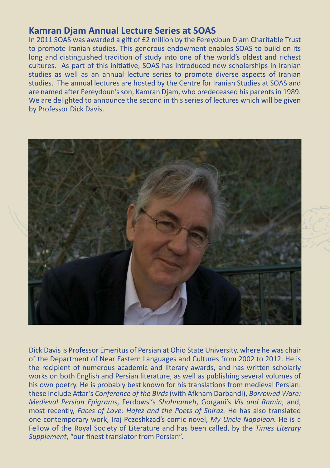## **Kamran Djam Annual Lecture Series at SOAS**

In 2011 SOAS was awarded a gift of  $£2$  million by the Fereydoun Diam Charitable Trust to promote Iranian studies. This generous endowment enables SOAS to build on its long and distinguished tradition of study into one of the world's oldest and richest cultures. As part of this initiative, SOAS has introduced new scholarships in Iranian studies as well as an annual lecture series to promote diverse aspects of Iranian studies. The annual lectures are hosted by the Centre for Iranian Studies at SOAS and are named after Fereydoun's son, Kamran Djam, who predeceased his parents in 1989. We are delighted to announce the second in this series of lectures which will be given by Professor Dick Davis.



Dick Davis is Professor Emeritus of Persian at Ohio State University, where he was chair of the Department of Near Eastern Languages and Cultures from 2002 to 2012. He is the recipient of numerous academic and literary awards, and has written scholarly works on both English and Persian literature, as well as publishing several volumes of his own poetry. He is probably best known for his translations from medieval Persian: these include Attar's *Conference of the Birds* (with Afkham Darbandi), *Borrowed Ware: Medieval Persian Epigrams*, Ferdowsi's *Shahnameh*, Gorgani's *Vis and Ramin*, and, most recently, *Faces of Love: Hafez and the Poets of Shiraz.* He has also translated one contemporary work, Iraj Pezeshkzad's comic novel, *My Uncle Napoleon.* He is a Fellow of the Royal Society of Literature and has been called, by the *Times Literary*  Supplement, "our finest translator from Persian".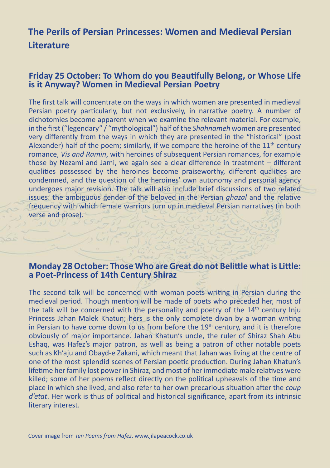## **The Perils of Persian Princesses: Women and Medieval Persian Literature**

### **Friday 25 October: To Whom do you Beautifully Belong, or Whose Life is it Anyway? Women in Medieval Persian Poetry**

The first talk will concentrate on the ways in which women are presented in medieval Persian poetry particularly, but not exclusively, in narrative poetry. A number of dichotomies become apparent when we examine the relevant material. For example, in the first ("legendary" / "mythological") half of the *Shahnameh* women are presented very differently from the ways in which they are presented in the "historical" (post Alexander) half of the poem; similarly, if we compare the heroine of the  $11<sup>th</sup>$  century romance, *Vis and Ramin*, with heroines of subsequent Persian romances, for example those by Nezami and Jami, we again see a clear difference in treatment  $-$  different qualities possessed by the heroines become praiseworthy, different qualities are condemned, and the question of the heroines' own autonomy and personal agency undergoes major revision. The talk will also include brief discussions of two related issues: the ambiguous gender of the beloved in the Persian *ghazal* and the relative frequency with which female warriors turn up in medieval Persian narratives (in both verse and prose).

### **Monday 28 October: Those Who are Great do not Belittle what is Little: a Poet-Princess of 14th Century Shiraz**

The second talk will be concerned with woman poets writing in Persian during the medieval period. Though mention will be made of poets who preceded her, most of the talk will be concerned with the personality and poetry of the  $14<sup>th</sup>$  century Inju Princess Jahan Malek Khatun; hers is the only complete divan by a woman writing in Persian to have come down to us from before the  $19<sup>th</sup>$  century, and it is therefore obviously of major importance. Jahan Khatun's uncle, the ruler of Shiraz Shah Abu Eshaq, was Hafez's major patron, as well as being a patron of other notable poets such as Kh'aju and Obayd-e Zakani, which meant that Jahan was living at the centre of one of the most splendid scenes of Persian poetic production. During Jahan Khatun's lifetime her family lost power in Shiraz, and most of her immediate male relatives were killed; some of her poems reflect directly on the political upheavals of the time and place in which she lived, and also refer to her own precarious situation after the *coup d'etat*. Her work is thus of political and historical significance, apart from its intrinsic literary interest.